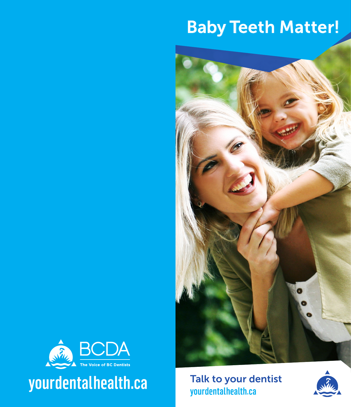# Baby Teeth Matter!





yourdentalhealth.ca

Talk to your dentistyourdentalhealth.ca